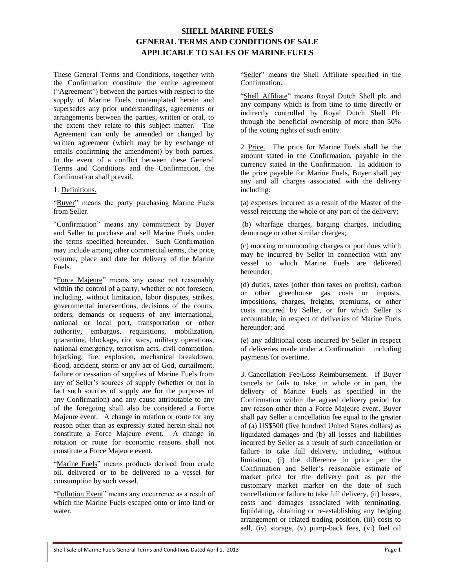These General Terms and Conditions, together with the Confirmation constitute the entire agreement ("Agreement") between the parties with respect to the supply of Marine Fuels contemplated herein and supersedes any prior understandings, agreements or arrangements between the parties, written or oral, to the extent they relate to this subject matter. The Agreement can only be amended or changed by written agreement (which may be by exchange of emails confirming the amendment) by both parties. In the event of a conflict between these General Terms and Conditions and the Confirmation, the Confirmation shall prevail.

#### 1. Definitions.

"Buyer" means the party purchasing Marine Fuels from Seller.

"Confirmation" means any commitment by Buyer and Seller to purchase and sell Marine Fuels under the terms specified hereunder. Such Confirmation may include among other commercial terms, the price, volume, place and date for delivery of the Marine Fuels.

"Force Majeure" means any cause not reasonably within the control of a party, whether or not foreseen, including, without limitation, labor disputes, strikes, governmental interventions, decisions of the courts, orders, demands or requests of any international, national or local port, transportation or other authority, embargos, requisitions, mobilization, quarantine, blockage, riot wars, military operations, national emergency, terrorism acts, civil commotion, hijacking, fire, explosion, mechanical breakdown, flood, accident, storm or any act of God, curtailment, failure or cessation of supplies of Marine Fuels from any of Seller's sources of supply (whether or not in fact such sources of supply are for the purposes of any Confirmation) and any cause attributable to any of the foregoing shall also be considered a Force Majeure event. A change in rotation or route for any reason other than as expressly stated herein shall not constitute a Force Majeure event. A change in rotation or route for economic reasons shall not constitute a Force Majeure event.

"Marine Fuels" means products derived from crude oil, delivered or to be delivered to a vessel for consumption by such vessel.

"Pollution Event" means any occurrence as a result of which the Marine Fuels escaped onto or into land or water.

"Seller" means the Shell Affiliate specified in the Confirmation.

"Shell Affiliate" means Royal Dutch Shell plc and any company which is from time to time directly or indirectly controlled by Royal Dutch Shell Plc through the beneficial ownership of more than 50% of the voting rights of such entity.

2. Price. The price for Marine Fuels shall be the amount stated in the Confirmation, payable in the currency stated in the Confirmation. In addition to the price payable for Marine Fuels, Buyer shall pay any and all charges associated with the delivery including:

(a) expenses incurred as a result of the Master of the vessel rejecting the whole or any part of the delivery;

(b) wharfage charges, barging charges, including demurrage or other similar charges;

(c) mooring or unmooring charges or port dues which may be incurred by Seller in connection with any vessel to which Marine Fuels are delivered hereunder;

(d) duties, taxes (other than taxes on profits), carbon or other greenhouse gas costs or imposts, impositions, charges, freights, premiums, or other costs incurred by Seller, or for which Seller is accountable, in respect of deliveries of Marine Fuels hereunder; and

(e) any additional costs incurred by Seller in respect of deliveries made under a Confirmation including payments for overtime.

<span id="page-0-0"></span>3. Cancellation Fee/Loss Reimbursement. If Buyer cancels or fails to take, in whole or in part, the delivery of Marine Fuels as specified in the Confirmation within the agreed delivery period for any reason other than a Force Majeure event, Buyer shall pay Seller a cancellation fee equal to the greater of (a) US\$500 (five hundred United States dollars) as liquidated damages and (b) all losses and liabilities incurred by Seller as a result of such cancellation or failure to take full delivery, including, without limitation, (i) the difference in price per the Confirmation and Seller's reasonable estimate of market price for the delivery port as per the customary market marker on the date of such cancellation or failure to take full delivery, (ii) losses, costs and damages associated with terminating, liquidating, obtaining or re-establishing any hedging arrangement or related trading position, (iii) costs to sell, (iv) storage, (v) pump-back fees, (vi) fuel oil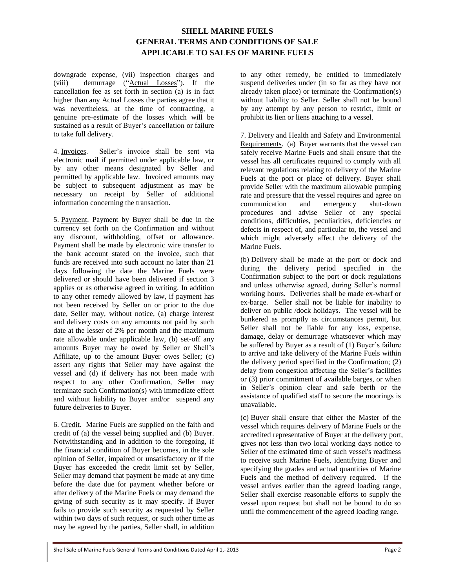downgrade expense, (vii) inspection charges and (viii) demurrage ("Actual Losses"). If the cancellation fee as set forth in section (a) is in fact higher than any Actual Losses the parties agree that it was nevertheless, at the time of contracting, a genuine pre-estimate of the losses which will be sustained as a result of Buyer's cancellation or failure to take full delivery.

4. Invoices. Seller's invoice shall be sent via electronic mail if permitted under applicable law, or by any other means designated by Seller and permitted by applicable law. Invoiced amounts may be subject to subsequent adjustment as may be necessary on receipt by Seller of additional information concerning the transaction.

5. Payment. Payment by Buyer shall be due in the currency set forth on the Confirmation and without any discount, withholding, offset or allowance. Payment shall be made by electronic wire transfer to the bank account stated on the invoice, such that funds are received into such account no later than 21 days following the date the Marine Fuels were delivered or should have been delivered if section [3](#page-0-0) applies or as otherwise agreed in writing. In addition to any other remedy allowed by law, if payment has not been received by Seller on or prior to the due date, Seller may, without notice, (a) charge interest and delivery costs on any amounts not paid by such date at the lesser of 2% per month and the maximum rate allowable under applicable law, (b) set-off any amounts Buyer may be owed by Seller or Shell's Affiliate, up to the amount Buyer owes Seller; (c) assert any rights that Seller may have against the vessel and (d) if delivery has not been made with respect to any other Confirmation, Seller may terminate such Confirmation(s) with immediate effect and without liability to Buyer and/or suspend any future deliveries to Buyer.

<span id="page-1-1"></span>6. Credit. Marine Fuels are supplied on the faith and credit of (a) the vessel being supplied and (b) Buyer. Notwithstanding and in addition to the foregoing, if the financial condition of Buyer becomes, in the sole opinion of Seller, impaired or unsatisfactory or if the Buyer has exceeded the credit limit set by Seller, Seller may demand that payment be made at any time before the date due for payment whether before or after delivery of the Marine Fuels or may demand the giving of such security as it may specify. If Buyer fails to provide such security as requested by Seller within two days of such request, or such other time as may be agreed by the parties, Seller shall, in addition

to any other remedy, be entitled to immediately suspend deliveries under (in so far as they have not already taken place) or terminate the Confirmation(s) without liability to Seller. Seller shall not be bound by any attempt by any person to restrict, limit or prohibit its lien or liens attaching to a vessel.

<span id="page-1-0"></span>7. Delivery and Health and Safety and Environmental Requirements. (a) Buyer warrants that the vessel can safely receive Marine Fuels and shall ensure that the vessel has all certificates required to comply with all relevant regulations relating to delivery of the Marine Fuels at the port or place of delivery. Buyer shall provide Seller with the maximum allowable pumping rate and pressure that the vessel requires and agree on communication and emergency shut-down procedures and advise Seller of any special conditions, difficulties, peculiarities, deficiencies or defects in respect of, and particular to, the vessel and which might adversely affect the delivery of the Marine Fuels.

(b) Delivery shall be made at the port or dock and during the delivery period specified in the Confirmation subject to the port or dock regulations and unless otherwise agreed, during Seller's normal working hours. Deliveries shall be made ex-wharf or ex-barge. Seller shall not be liable for inability to deliver on public /dock holidays. The vessel will be bunkered as promptly as circumstances permit, but Seller shall not be liable for any loss, expense, damage, delay or demurrage whatsoever which may be suffered by Buyer as a result of (1) Buyer's failure to arrive and take delivery of the Marine Fuels within the delivery period specified in the Confirmation; (2) delay from congestion affecting the Seller's facilities or (3) prior commitment of available barges, or when in Seller's opinion clear and safe berth or the assistance of qualified staff to secure the moorings is unavailable.

(c) Buyer shall ensure that either the Master of the vessel which requires delivery of Marine Fuels or the accredited representative of Buyer at the delivery port, gives not less than two local working days notice to Seller of the estimated time of such vessel's readiness to receive such Marine Fuels, identifying Buyer and specifying the grades and actual quantities of Marine Fuels and the method of delivery required. If the vessel arrives earlier than the agreed loading range, Seller shall exercise reasonable efforts to supply the vessel upon request but shall not be bound to do so until the commencement of the agreed loading range.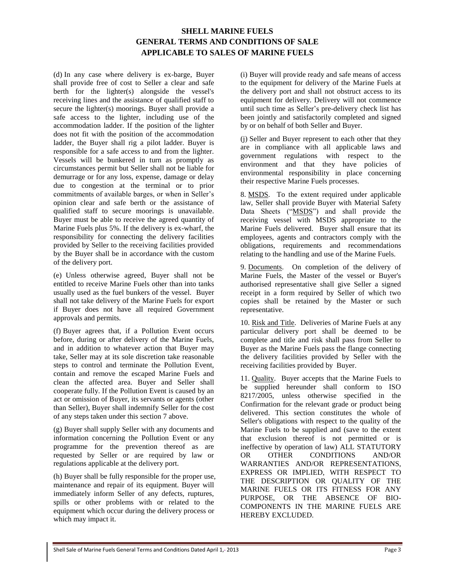(d) In any case where delivery is ex-barge, Buyer shall provide free of cost to Seller a clear and safe berth for the lighter(s) alongside the vessel's receiving lines and the assistance of qualified staff to secure the lighter(s) moorings. Buyer shall provide a safe access to the lighter, including use of the accommodation ladder. If the position of the lighter does not fit with the position of the accommodation ladder, the Buyer shall rig a pilot ladder. Buyer is responsible for a safe access to and from the lighter. Vessels will be bunkered in turn as promptly as circumstances permit but Seller shall not be liable for demurrage or for any loss, expense, damage or delay due to congestion at the terminal or to prior commitments of available barges, or when in Seller's opinion clear and safe berth or the assistance of qualified staff to secure moorings is unavailable. Buyer must be able to receive the agreed quantity of Marine Fuels plus 5%. If the delivery is ex-wharf, the responsibility for connecting the delivery facilities provided by Seller to the receiving facilities provided by the Buyer shall be in accordance with the custom of the delivery port.

(e) Unless otherwise agreed, Buyer shall not be entitled to receive Marine Fuels other than into tanks usually used as the fuel bunkers of the vessel. Buyer shall not take delivery of the Marine Fuels for export if Buyer does not have all required Government approvals and permits.

(f) Buyer agrees that, if a Pollution Event occurs before, during or after delivery of the Marine Fuels, and in addition to whatever action that Buyer may take, Seller may at its sole discretion take reasonable steps to control and terminate the Pollution Event, contain and remove the escaped Marine Fuels and clean the affected area. Buyer and Seller shall cooperate fully. If the Pollution Event is caused by an act or omission of Buyer, its servants or agents (other than Seller), Buyer shall indemnify Seller for the cost of any steps taken under this sectio[n 7 above.](#page-1-0)

(g) Buyer shall supply Seller with any documents and information concerning the Pollution Event or any programme for the prevention thereof as are requested by Seller or are required by law or regulations applicable at the delivery port.

(h) Buyer shall be fully responsible for the proper use, maintenance and repair of its equipment. Buyer will immediately inform Seller of any defects, ruptures, spills or other problems with or related to the equipment which occur during the delivery process or which may impact it.

(i) Buyer will provide ready and safe means of access to the equipment for delivery of the Marine Fuels at the delivery port and shall not obstruct access to its equipment for delivery. Delivery will not commence until such time as Seller's pre-delivery check list has been jointly and satisfactorily completed and signed by or on behalf of both Seller and Buyer.

(j) Seller and Buyer represent to each other that they are in compliance with all applicable laws and government regulations with respect to the environment and that they have policies of environmental responsibility in place concerning their respective Marine Fuels processes.

8. MSDS. To the extent required under applicable law, Seller shall provide Buyer with Material Safety Data Sheets ("MSDS") and shall provide the receiving vessel with MSDS appropriate to the Marine Fuels delivered. Buyer shall ensure that its employees, agents and contractors comply with the obligations, requirements and recommendations relating to the handling and use of the Marine Fuels.

9. Documents. On completion of the delivery of Marine Fuels, the Master of the vessel or Buyer's authorised representative shall give Seller a signed receipt in a form required by Seller of which two copies shall be retained by the Master or such representative.

10. Risk and Title. Deliveries of Marine Fuels at any particular delivery port shall be deemed to be complete and title and risk shall pass from Seller to Buyer as the Marine Fuels pass the flange connecting the delivery facilities provided by Seller with the receiving facilities provided by Buyer.

11. Quality. Buyer accepts that the Marine Fuels to be supplied hereunder shall conform to ISO 8217/2005, unless otherwise specified in the Confirmation for the relevant grade or product being delivered. This section constitutes the whole of Seller's obligations with respect to the quality of the Marine Fuels to be supplied and (save to the extent that exclusion thereof is not permitted or is ineffective by operation of law) ALL STATUTORY OR OTHER CONDITIONS AND/OR WARRANTIES AND/OR REPRESENTATIONS, EXPRESS OR IMPLIED, WITH RESPECT TO THE DESCRIPTION OR QUALITY OF THE MARINE FUELS OR ITS FITNESS FOR ANY PURPOSE, OR THE ABSENCE OF BIO-COMPONENTS IN THE MARINE FUELS ARE HEREBY EXCLUDED.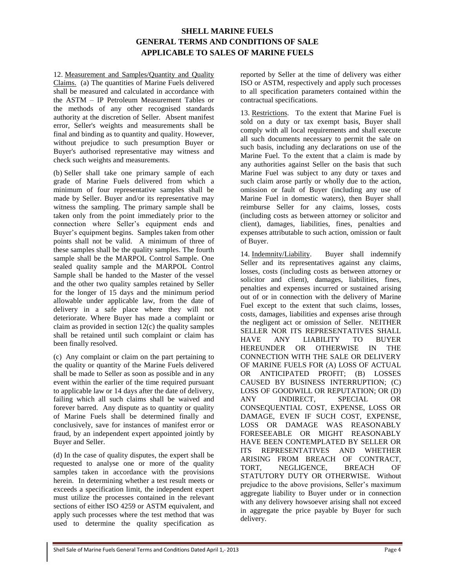12. Measurement and Samples/Quantity and Quality Claims. (a) The quantities of Marine Fuels delivered shall be measured and calculated in accordance with the ASTM – IP Petroleum Measurement Tables or the methods of any other recognised standards authority at the discretion of Seller. Absent manifest error, Seller's weights and measurements shall be final and binding as to quantity and quality. However, without prejudice to such presumption Buyer or Buyer's authorised representative may witness and check such weights and measurements.

(b) Seller shall take one primary sample of each grade of Marine Fuels delivered from which a minimum of four representative samples shall be made by Seller. Buyer and/or its representative may witness the sampling. The primary sample shall be taken only from the point immediately prior to the connection where Seller's equipment ends and Buyer's equipment begins. Samples taken from other points shall not be valid. A minimum of three of these samples shall be the quality samples. The fourth sample shall be the MARPOL Control Sample. One sealed quality sample and the MARPOL Control Sample shall be handed to the Master of the vessel and the other two quality samples retained by Seller for the longer of 15 days and the minimum period allowable under applicable law, from the date of delivery in a safe place where they will not deteriorate. Where Buyer has made a complaint or claim as provided in section  $12(c)$  the quality samples shall be retained until such complaint or claim has been finally resolved.

(c) Any complaint or claim on the part pertaining to the quality or quantity of the Marine Fuels delivered shall be made to Seller as soon as possible and in any event within the earlier of the time required pursuant to applicable law or 14 days after the date of delivery, failing which all such claims shall be waived and forever barred. Any dispute as to quantity or quality of Marine Fuels shall be determined finally and conclusively, save for instances of manifest error or fraud, by an independent expert appointed jointly by Buyer and Seller.

(d) In the case of quality disputes, the expert shall be requested to analyse one or more of the quality samples taken in accordance with the provisions herein. In determining whether a test result meets or exceeds a specification limit, the independent expert must utilize the processes contained in the relevant sections of either ISO 4259 or ASTM equivalent, and apply such processes where the test method that was used to determine the quality specification as

reported by Seller at the time of delivery was either ISO or ASTM, respectively and apply such processes to all specification parameters contained within the contractual specifications.

13. Restrictions. To the extent that Marine Fuel is sold on a duty or tax exempt basis, Buyer shall comply with all local requirements and shall execute all such documents necessary to permit the sale on such basis, including any declarations on use of the Marine Fuel. To the extent that a claim is made by any authorities against Seller on the basis that such Marine Fuel was subject to any duty or taxes and such claim arose partly or wholly due to the action, omission or fault of Buyer (including any use of Marine Fuel in domestic waters), then Buyer shall reimburse Seller for any claims, losses, costs (including costs as between attorney or solicitor and client), damages, liabilities, fines, penalties and expenses attributable to such action, omission or fault of Buyer.

14. Indemnity/Liability. Buyer shall indemnify Seller and its representatives against any claims, losses, costs (including costs as between attorney or solicitor and client), damages, liabilities, fines, penalties and expenses incurred or sustained arising out of or in connection with the delivery of Marine Fuel except to the extent that such claims, losses, costs, damages, liabilities and expenses arise through the negligent act or omission of Seller. NEITHER SELLER NOR ITS REPRESENTATIVES SHALL HAVE ANY LIABILITY TO BUYER HEREUNDER OR OTHERWISE IN THE CONNECTION WITH THE SALE OR DELIVERY OF MARINE FUELS FOR (A) LOSS OF ACTUAL OR ANTICIPATED PROFIT; (B) LOSSES CAUSED BY BUSINESS INTERRUPTION; (C) LOSS OF GOODWILL OR REPUTATION; OR (D) ANY INDIRECT, SPECIAL OR CONSEQUENTIAL COST, EXPENSE, LOSS OR DAMAGE, EVEN IF SUCH COST, EXPENSE, LOSS OR DAMAGE WAS REASONABLY FORESEEABLE OR MIGHT REASONABLY HAVE BEEN CONTEMPLATED BY SELLER OR ITS REPRESENTATIVES AND WHETHER ARISING FROM BREACH OF CONTRACT, TORT, NEGLIGENCE, BREACH OF STATUTORY DUTY OR OTHERWISE. Without prejudice to the above provisions, Seller's maximum aggregate liability to Buyer under or in connection with any delivery howsoever arising shall not exceed in aggregate the price payable by Buyer for such delivery.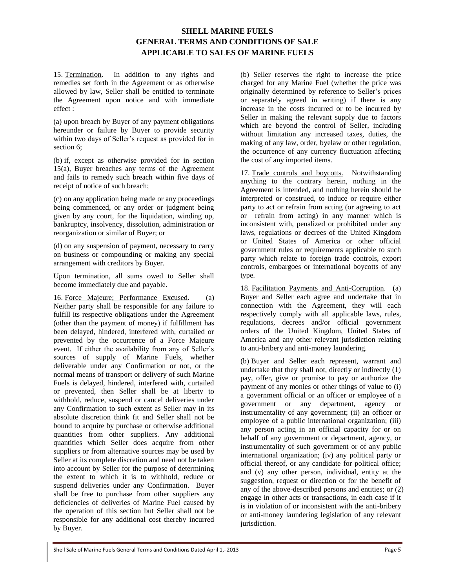<span id="page-4-0"></span>15. Termination. In addition to any rights and remedies set forth in the Agreement or as otherwise allowed by law, Seller shall be entitled to terminate the Agreement upon notice and with immediate effect :

(a) upon breach by Buyer of any payment obligations hereunder or failure by Buyer to provide security within two days of Seller's request as provided for in section [6;](#page-1-1)

(b) if, except as otherwise provided for in section [15\(a\),](#page-4-0) Buyer breaches any terms of the Agreement and fails to remedy such breach within five days of receipt of notice of such breach;

(c) on any application being made or any proceedings being commenced, or any order or judgment being given by any court, for the liquidation, winding up, bankruptcy, insolvency, dissolution, administration or reorganization or similar of Buyer; or

(d) on any suspension of payment, necessary to carry on business or compounding or making any special arrangement with creditors by Buyer.

Upon termination, all sums owed to Seller shall become immediately due and payable.

16. Force Majeure; Performance Excused. (a) Neither party shall be responsible for any failure to fulfill its respective obligations under the Agreement (other than the payment of money) if fulfillment has been delayed, hindered, interfered with, curtailed or prevented by the occurrence of a Force Majeure event. If either the availability from any of Seller's sources of supply of Marine Fuels, whether deliverable under any Confirmation or not, or the normal means of transport or delivery of such Marine Fuels is delayed, hindered, interfered with, curtailed or prevented, then Seller shall be at liberty to withhold, reduce, suspend or cancel deliveries under any Confirmation to such extent as Seller may in its absolute discretion think fit and Seller shall not be bound to acquire by purchase or otherwise additional quantities from other suppliers. Any additional quantities which Seller does acquire from other suppliers or from alternative sources may be used by Seller at its complete discretion and need not be taken into account by Seller for the purpose of determining the extent to which it is to withhold, reduce or suspend deliveries under any Confirmation. Buyer shall be free to purchase from other suppliers any deficiencies of deliveries of Marine Fuel caused by the operation of this section but Seller shall not be responsible for any additional cost thereby incurred by Buyer.

(b) Seller reserves the right to increase the price charged for any Marine Fuel (whether the price was originally determined by reference to Seller's prices or separately agreed in writing) if there is any increase in the costs incurred or to be incurred by Seller in making the relevant supply due to factors which are beyond the control of Seller, including without limitation any increased taxes, duties, the making of any law, order, byelaw or other regulation, the occurrence of any currency fluctuation affecting the cost of any imported items.

17. Trade controls and boycotts. Notwithstanding anything to the contrary herein, nothing in the Agreement is intended, and nothing herein should be interpreted or construed, to induce or require either party to act or refrain from acting (or agreeing to act or refrain from acting) in any manner which is inconsistent with, penalized or prohibited under any laws, regulations or decrees of the United Kingdom or United States of America or other official government rules or requirements applicable to such party which relate to foreign trade controls, export controls, embargoes or international boycotts of any type.

18. Facilitation Payments and Anti-Corruption. (a) Buyer and Seller each agree and undertake that in connection with the Agreement, they will each respectively comply with all applicable laws, rules, regulations, decrees and/or official government orders of the United Kingdom, United States of America and any other relevant jurisdiction relating to anti-bribery and anti-money laundering.

(b) Buyer and Seller each represent, warrant and undertake that they shall not, directly or indirectly (1) pay, offer, give or promise to pay or authorize the payment of any monies or other things of value to (i) a government official or an officer or employee of a government or any department, agency or instrumentality of any government; (ii) an officer or employee of a public international organization; (iii) any person acting in an official capacity for or on behalf of any government or department, agency, or instrumentality of such government or of any public international organization; (iv) any political party or official thereof, or any candidate for political office; and (v) any other person, individual, entity at the suggestion, request or direction or for the benefit of any of the above-described persons and entities; or (2) engage in other acts or transactions, in each case if it is in violation of or inconsistent with the anti-bribery or anti-money laundering legislation of any relevant jurisdiction.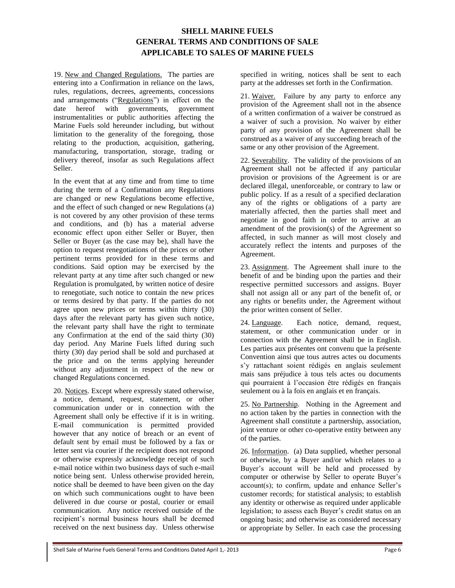19. New and Changed Regulations. The parties are entering into a Confirmation in reliance on the laws, rules, regulations, decrees, agreements, concessions and arrangements ("Regulations") in effect on the date hereof with governments, government instrumentalities or public authorities affecting the Marine Fuels sold hereunder including, but without limitation to the generality of the foregoing, those relating to the production, acquisition, gathering, manufacturing, transportation, storage, trading or delivery thereof, insofar as such Regulations affect Seller.

In the event that at any time and from time to time during the term of a Confirmation any Regulations are changed or new Regulations become effective, and the effect of such changed or new Regulations (a) is not covered by any other provision of these terms and conditions, and (b) has a material adverse economic effect upon either Seller or Buyer, then Seller or Buyer (as the case may be), shall have the option to request renegotiations of the prices or other pertinent terms provided for in these terms and conditions. Said option may be exercised by the relevant party at any time after such changed or new Regulation is promulgated, by written notice of desire to renegotiate, such notice to contain the new prices or terms desired by that party. If the parties do not agree upon new prices or terms within thirty (30) days after the relevant party has given such notice, the relevant party shall have the right to terminate any Confirmation at the end of the said thirty (30) day period. Any Marine Fuels lifted during such thirty (30) day period shall be sold and purchased at the price and on the terms applying hereunder without any adjustment in respect of the new or changed Regulations concerned.

20. Notices. Except where expressly stated otherwise, a notice, demand, request, statement, or other communication under or in connection with the Agreement shall only be effective if it is in writing. E-mail communication is permitted provided however that any notice of breach or an event of default sent by email must be followed by a fax or letter sent via courier if the recipient does not respond or otherwise expressly acknowledge receipt of such e-mail notice within two business days of such e-mail notice being sent. Unless otherwise provided herein, notice shall be deemed to have been given on the day on which such communications ought to have been delivered in due course or postal, courier or email communication. Any notice received outside of the recipient's normal business hours shall be deemed received on the next business day. Unless otherwise

specified in writing, notices shall be sent to each party at the addresses set forth in the Confirmation.

21. Waiver. Failure by any party to enforce any provision of the Agreement shall not in the absence of a written confirmation of a waiver be construed as a waiver of such a provision. No waiver by either party of any provision of the Agreement shall be construed as a waiver of any succeeding breach of the same or any other provision of the Agreement.

22. Severability. The validity of the provisions of an Agreement shall not be affected if any particular provision or provisions of the Agreement is or are declared illegal, unenforceable, or contrary to law or public policy. If as a result of a specified declaration any of the rights or obligations of a party are materially affected, then the parties shall meet and negotiate in good faith in order to arrive at an amendment of the provision(s) of the Agreement so affected, in such manner as will most closely and accurately reflect the intents and purposes of the Agreement.

23. Assignment. The Agreement shall inure to the benefit of and be binding upon the parties and their respective permitted successors and assigns. Buyer shall not assign all or any part of the benefit of, or any rights or benefits under, the Agreement without the prior written consent of Seller.

24. Language. Each notice, demand, request, statement, or other communication under or in connection with the Agreement shall be in English. Les parties aux présentes ont convenu que la présente Convention ainsi que tous autres actes ou documents s'y rattachant soient rédigés en anglais seulement mais sans préjudice à tous tels actes ou documents qui pourraient à l'occasion être rédigés en français seulement ou à la fois en anglais et en français.

25. No Partnership. Nothing in the Agreement and no action taken by the parties in connection with the Agreement shall constitute a partnership, association, joint venture or other co-operative entity between any of the parties.

26. Information. (a) Data supplied, whether personal or otherwise, by a Buyer and/or which relates to a Buyer's account will be held and processed by computer or otherwise by Seller to operate Buyer's account(s); to confirm, update and enhance Seller's customer records; for statistical analysis; to establish any identity or otherwise as required under applicable legislation; to assess each Buyer's credit status on an ongoing basis; and otherwise as considered necessary or appropriate by Seller. In each case the processing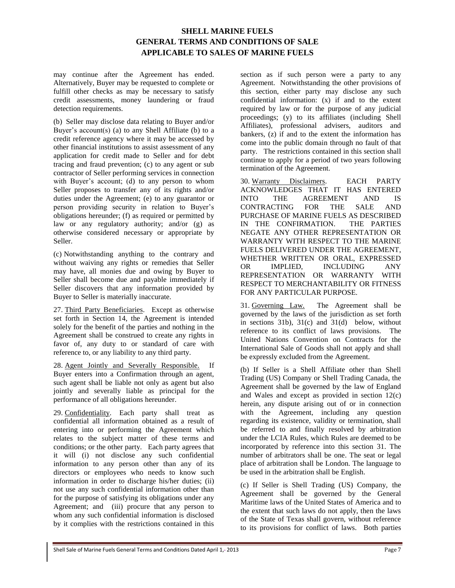may continue after the Agreement has ended. Alternatively, Buyer may be requested to complete or fulfill other checks as may be necessary to satisfy credit assessments, money laundering or fraud detection requirements.

(b) Seller may disclose data relating to Buyer and/or Buyer's account(s) (a) to any Shell Affiliate (b) to a credit reference agency where it may be accessed by other financial institutions to assist assessment of any application for credit made to Seller and for debt tracing and fraud prevention; (c) to any agent or sub contractor of Seller performing services in connection with Buyer's account; (d) to any person to whom Seller proposes to transfer any of its rights and/or duties under the Agreement; (e) to any guarantor or person providing security in relation to Buyer's obligations hereunder; (f) as required or permitted by law or any regulatory authority; and/or (g) as otherwise considered necessary or appropriate by Seller.

(c) Notwithstanding anything to the contrary and without waiving any rights or remedies that Seller may have, all monies due and owing by Buyer to Seller shall become due and payable immediately if Seller discovers that any information provided by Buyer to Seller is materially inaccurate.

27. Third Party Beneficiaries. Except as otherwise set forth in Section 14, the Agreement is intended solely for the benefit of the parties and nothing in the Agreement shall be construed to create any rights in favor of, any duty to or standard of care with reference to, or any liability to any third party.

28. Agent Jointly and Severally Responsible. If Buyer enters into a Confirmation through an agent, such agent shall be liable not only as agent but also jointly and severally liable as principal for the performance of all obligations hereunder.

29. Confidentiality. Each party shall treat as confidential all information obtained as a result of entering into or performing the Agreement which relates to the subject matter of these terms and conditions; or the other party. Each party agrees that it will (i) not disclose any such confidential information to any person other than any of its directors or employees who needs to know such information in order to discharge his/her duties; (ii) not use any such confidential information other than for the purpose of satisfying its obligations under any Agreement; and (iii) procure that any person to whom any such confidential information is disclosed by it complies with the restrictions contained in this

section as if such person were a party to any Agreement. Notwithstanding the other provisions of this section, either party may disclose any such confidential information: (x) if and to the extent required by law or for the purpose of any judicial proceedings; (y) to its affiliates (including Shell Affiliates), professional advisers, auditors and bankers, (z) if and to the extent the information has come into the public domain through no fault of that party. The restrictions contained in this section shall continue to apply for a period of two years following termination of the Agreement.

30. Warranty Disclaimers. EACH PARTY ACKNOWLEDGES THAT IT HAS ENTERED INTO THE AGREEMENT AND IS CONTRACTING FOR THE SALE AND PURCHASE OF MARINE FUELS AS DESCRIBED IN THE CONFIRMATION. THE PARTIES NEGATE ANY OTHER REPRESENTATION OR WARRANTY WITH RESPECT TO THE MARINE FUELS DELIVERED UNDER THE AGREEMENT, WHETHER WRITTEN OR ORAL, EXPRESSED OR IMPLIED, INCLUDING ANY REPRESENTATION OR WARRANTY WITH RESPECT TO MERCHANTABILITY OR FITNESS FOR ANY PARTICULAR PURPOSE.

<span id="page-6-0"></span>31. Governing Law. The Agreement shall be governed by the laws of the jurisdiction as set forth in sections  $31b$ ,  $31(c)$  $31(c)$  and  $31(d)$  below, without reference to its conflict of laws provisions. The United Nations Convention on Contracts for the International Sale of Goods shall not apply and shall be expressly excluded from the Agreement.

(b) If Seller is a Shell Affiliate other than Shell Trading (US) Company or Shell Trading Canada, the Agreement shall be governed by the law of England and Wales and except as provided in section 12(c) herein, any dispute arising out of or in connection with the Agreement, including any question regarding its existence, validity or termination, shall be referred to and finally resolved by arbitration under the LCIA Rules, which Rules are deemed to be incorporated by reference into this section [31.](#page-6-0) The number of arbitrators shall be one. The seat or legal place of arbitration shall be London. The language to be used in the arbitration shall be English.

(c) If Seller is Shell Trading (US) Company, the Agreement shall be governed by the General Maritime laws of the United States of America and to the extent that such laws do not apply, then the laws of the State of Texas shall govern, without reference to its provisions for conflict of laws. Both parties